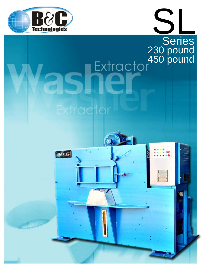

## Sarias **Series** 230 pound 450 pound

щ

# Extractor

Bac

ð,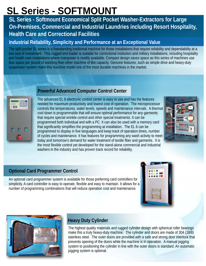### **SL Series - SOFTMOUNT**

#### **SL Series - Softmount Economical Split Pocket Washer-Extractors for Large On-Premises, Commercial and Industrial Laundries including Resort Hospitality, Health Care and Correctional Facilities**

#### **Industrial Reliability, Simplicity and Performance at an Exceptional Value**

The split pocket SL series is a freestanding traditional machine for those installations that require reliability and dependability at a low cost of investment. This rugged end loader is suitable for correctional institution and military installations, including hospitality and health care installations where manpower is readily available. Compact design saves space as this series of machines use less space per pound of washing than other machine of like capacity. Genuine features, such as simple drive and heavy-duty suspension system make this machine model one of the most durable machines in the market.



#### **Powerful Advanced Computer Control Center**

The advanced EL 6 electronic control center is easy to use and has the features needed for maximum productivity and lowest cost of operation. The microprocessor controls the temperatures, water levels, speeds and maintenance intervals. A thermal cool down is programmable that will ensure optimal performance for any garments that require special wrinkle control and other special treatments. It can be programmed both individual and with a PC. It can also be used with a memory card that significantly simplifies the programming at installation. The EL 6 can be programmed to display in five languages and keep track of operation times, number of cycles and maintenance. It has features for programming any wash activity to meet today and tomorrow's demand for water treatment of textile fiber and garments. It is the most flexible control yet developed for the stand-alone commercial and industrial washers in the industry and has proven track record for reliability.



#### **Optional Card Programmer Control**

An optional card programmer system is available for those preferring card controllers for simplicity. A card controller is easy to operate, flexible and easy to maintain. It allows for a number of programming combinations that will reduce operation cost and maintenance.





#### **Heavy Duty Cylinder**

The highest quality materials and rugged cylinder design with spherical roller bearings make this a truly heavy-duty machine. The cylinder and doors are made of 304 (18/8) stainless steel. The outer doors are provided with a safe and strong door interlock that prevents opening of the doors while the machine is in operation. A manual jogging system to positioning the cylinder in line with the outer doors is standard. An automatic jogging system is optional.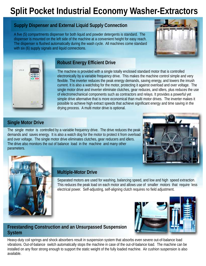### **Split Pocket Industrial Economy Washer-Extractors**

#### **Supply Dispenser and External Liquid Supply Connection**

A five (5) compartments dispenser for both liquid and powder detergents is standard. The dispenser is mounted on the left side of the machine at a convenient height for easy reach. The dispenser is flushed automatically during the wash cycle. All machines come standard with six (6) supply signals and liquid connections.





#### **Robust Energy Efficient Drive**

The machine is provided with a single totally enclosed standard motor that is controlled electronically by a variable frequency drive. This makes the machine control simple and very flexible. The inverter reduces the peak energy demands, saving energy, and lowers the inrush current. It is also a watchdog for the motor, protecting it against overload and over voltage. The single motor drive and inverter eliminate clutches, gear reduces, and idlers, plus reduces the use of electromechanical components such as contractors and relays. It provides a powerful yet simple drive alternative that is more economical than multi motor drives. The inverter makes it possible to achieve high extract speeds that achieve significant energy and time saving in the drying process. A multi motor drive is optional.

#### **Single Motor Drive**

The single motor is controlled by a variable frequency drive. The drive reduces the peak demands and saves energy. It is also a watch dog for the motor to protect it from overload and over voltage. The single motor drive eliminates clutches, gear reducers and idlers. The drive also monitors the out of balance load in the machine and many other parameters.





#### **Multiple-Motor Drive**

Separated motors are used for washing, balancing speed, and low and high speed extraction. This reduces the peak load on each motor and allows use of smaller motors that require less electrical power. Self-adjusting, self-aligning clutch requires no field adjustment.



Heavy-duty coil springs and shock absorbers result in suspension system that absorbs even severe out-of-balance load vibrations. Out-of-balance switch automatically stops the machine in case of the out-of-balance load. The machine can be installed on any floor strong enough to support the static weight of the fully loaded machine. Air cushion suspension is also available.